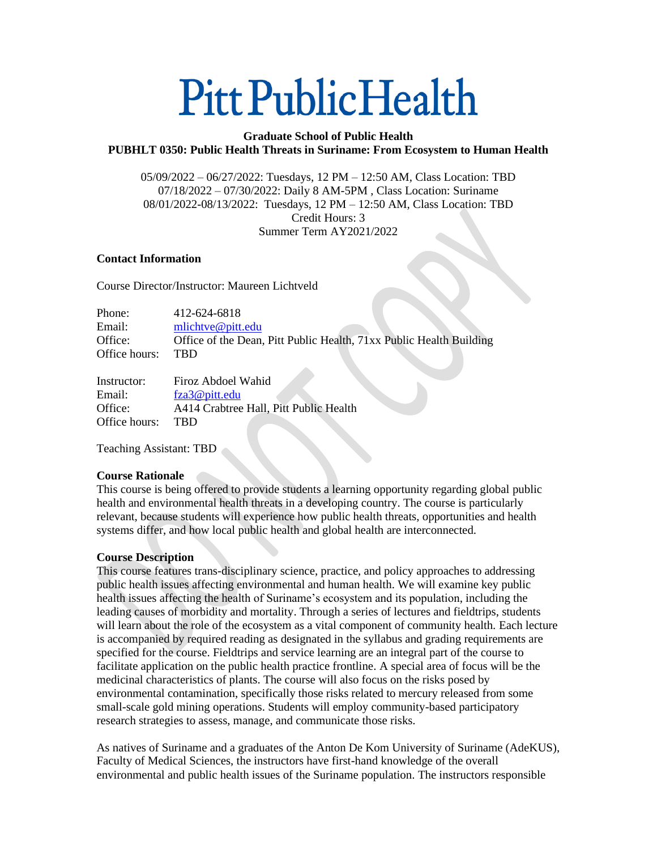# **Pitt Public Health**

# **Graduate School of Public Health PUBHLT 0350: Public Health Threats in Suriname: From Ecosystem to Human Health**

05/09/2022 – 06/27/2022: Tuesdays, 12 PM – 12:50 AM, Class Location: TBD 07/18/2022 – 07/30/2022: Daily 8 AM-5PM , Class Location: Suriname 08/01/2022-08/13/2022: Tuesdays, 12 PM – 12:50 AM, Class Location: TBD Credit Hours: 3 Summer Term AY2021/2022

#### **Contact Information**

Course Director/Instructor: Maureen Lichtveld

| Phone:        | 412-624-6818                                                        |
|---------------|---------------------------------------------------------------------|
| Email:        | $m$ lichtve@pitt.edu                                                |
| Office:       | Office of the Dean, Pitt Public Health, 71xx Public Health Building |
| Office hours: | <b>TRD</b>                                                          |

| Firoz Abdoel Wahid                     |
|----------------------------------------|
| fza3@pitt.edu                          |
| A414 Crabtree Hall, Pitt Public Health |
| <b>TRD</b>                             |
|                                        |

Teaching Assistant: TBD

## **Course Rationale**

This course is being offered to provide students a learning opportunity regarding global public health and environmental health threats in a developing country. The course is particularly relevant, because students will experience how public health threats, opportunities and health systems differ, and how local public health and global health are interconnected.

## **Course Description**

This course features trans-disciplinary science, practice, and policy approaches to addressing public health issues affecting environmental and human health. We will examine key public health issues affecting the health of Suriname's ecosystem and its population, including the leading causes of morbidity and mortality. Through a series of lectures and fieldtrips, students will learn about the role of the ecosystem as a vital component of community health. Each lecture is accompanied by required reading as designated in the syllabus and grading requirements are specified for the course. Fieldtrips and service learning are an integral part of the course to facilitate application on the public health practice frontline. A special area of focus will be the medicinal characteristics of plants. The course will also focus on the risks posed by environmental contamination, specifically those risks related to mercury released from some small-scale gold mining operations. Students will employ community-based participatory research strategies to assess, manage, and communicate those risks.

As natives of Suriname and a graduates of the Anton De Kom University of Suriname (AdeKUS), Faculty of Medical Sciences, the instructors have first-hand knowledge of the overall environmental and public health issues of the Suriname population. The instructors responsible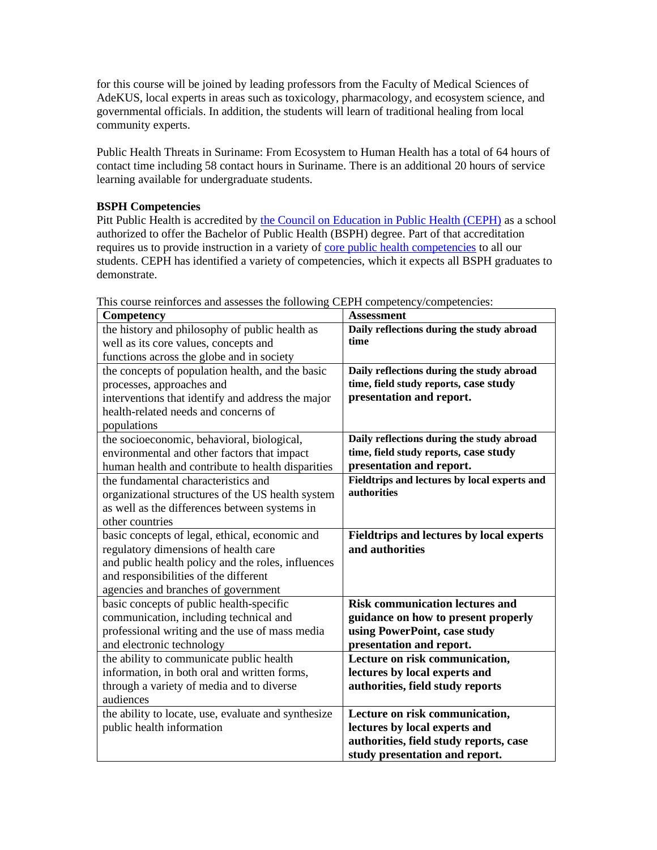for this course will be joined by leading professors from the Faculty of Medical Sciences of AdeKUS, local experts in areas such as toxicology, pharmacology, and ecosystem science, and governmental officials. In addition, the students will learn of traditional healing from local community experts.

Public Health Threats in Suriname: From Ecosystem to Human Health has a total of 64 hours of contact time including 58 contact hours in Suriname. There is an additional 20 hours of service learning available for undergraduate students.

#### **BSPH Competencies**

Pitt Public Health is accredited b[y the Council on Education in Public Health \(CEPH\)](https://ceph.org/) as a school authorized to offer the Bachelor of Public Health (BSPH) degree. Part of that accreditation requires us to provide instruction in a variety of [core public health competencies](https://media.ceph.org/wp_assets/2016.Criteria.pdf) to all our students. CEPH has identified a variety of competencies, which it expects all BSPH graduates to demonstrate.

| Competency                                          | <b>Assessment</b>                               |
|-----------------------------------------------------|-------------------------------------------------|
| the history and philosophy of public health as      | Daily reflections during the study abroad       |
| well as its core values, concepts and               | time                                            |
| functions across the globe and in society           |                                                 |
| the concepts of population health, and the basic    | Daily reflections during the study abroad       |
| processes, approaches and                           | time, field study reports, case study           |
| interventions that identify and address the major   | presentation and report.                        |
| health-related needs and concerns of                |                                                 |
| populations                                         |                                                 |
| the socioeconomic, behavioral, biological,          | Daily reflections during the study abroad       |
| environmental and other factors that impact         | time, field study reports, case study           |
| human health and contribute to health disparities   | presentation and report.                        |
| the fundamental characteristics and                 | Fieldtrips and lectures by local experts and    |
| organizational structures of the US health system   | authorities                                     |
| as well as the differences between systems in       |                                                 |
| other countries                                     |                                                 |
| basic concepts of legal, ethical, economic and      | <b>Fieldtrips and lectures by local experts</b> |
| regulatory dimensions of health care                | and authorities                                 |
| and public health policy and the roles, influences  |                                                 |
| and responsibilities of the different               |                                                 |
| agencies and branches of government                 |                                                 |
| basic concepts of public health-specific            | <b>Risk communication lectures and</b>          |
| communication, including technical and              | guidance on how to present properly             |
| professional writing and the use of mass media      | using PowerPoint, case study                    |
| and electronic technology                           | presentation and report.                        |
| the ability to communicate public health            | Lecture on risk communication,                  |
| information, in both oral and written forms,        | lectures by local experts and                   |
| through a variety of media and to diverse           | authorities, field study reports                |
| audiences                                           |                                                 |
| the ability to locate, use, evaluate and synthesize | Lecture on risk communication,                  |
| public health information                           | lectures by local experts and                   |
|                                                     | authorities, field study reports, case          |
|                                                     | study presentation and report.                  |

This course reinforces and assesses the following CEPH competency/competencies: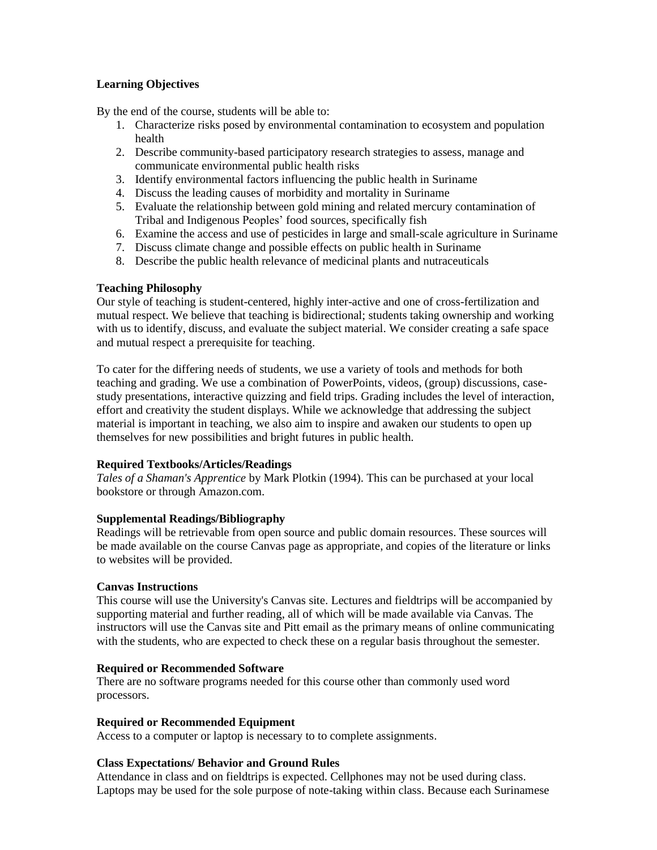## **Learning Objectives**

By the end of the course, students will be able to:

- 1. Characterize risks posed by environmental contamination to ecosystem and population health
- 2. Describe community-based participatory research strategies to assess, manage and communicate environmental public health risks
- 3. Identify environmental factors influencing the public health in Suriname
- 4. Discuss the leading causes of morbidity and mortality in Suriname
- 5. Evaluate the relationship between gold mining and related mercury contamination of Tribal and Indigenous Peoples' food sources, specifically fish
- 6. Examine the access and use of pesticides in large and small-scale agriculture in Suriname
- 7. Discuss climate change and possible effects on public health in Suriname
- 8. Describe the public health relevance of medicinal plants and nutraceuticals

## **Teaching Philosophy**

Our style of teaching is student-centered, highly inter-active and one of cross-fertilization and mutual respect. We believe that teaching is bidirectional; students taking ownership and working with us to identify, discuss, and evaluate the subject material. We consider creating a safe space and mutual respect a prerequisite for teaching.

To cater for the differing needs of students, we use a variety of tools and methods for both teaching and grading. We use a combination of PowerPoints, videos, (group) discussions, casestudy presentations, interactive quizzing and field trips. Grading includes the level of interaction, effort and creativity the student displays. While we acknowledge that addressing the subject material is important in teaching, we also aim to inspire and awaken our students to open up themselves for new possibilities and bright futures in public health.

# **Required Textbooks/Articles/Readings**

*Tales of a Shaman's Apprentice* by Mark Plotkin (1994). This can be purchased at your local bookstore or through Amazon.com.

# **Supplemental Readings/Bibliography**

Readings will be retrievable from open source and public domain resources. These sources will be made available on the course Canvas page as appropriate, and copies of the literature or links to websites will be provided.

## **Canvas Instructions**

This course will use the University's Canvas site. Lectures and fieldtrips will be accompanied by supporting material and further reading, all of which will be made available via Canvas. The instructors will use the Canvas site and Pitt email as the primary means of online communicating with the students, who are expected to check these on a regular basis throughout the semester.

# **Required or Recommended Software**

There are no software programs needed for this course other than commonly used word processors.

# **Required or Recommended Equipment**

Access to a computer or laptop is necessary to to complete assignments.

## **Class Expectations/ Behavior and Ground Rules**

Attendance in class and on fieldtrips is expected. Cellphones may not be used during class. Laptops may be used for the sole purpose of note-taking within class. Because each Surinamese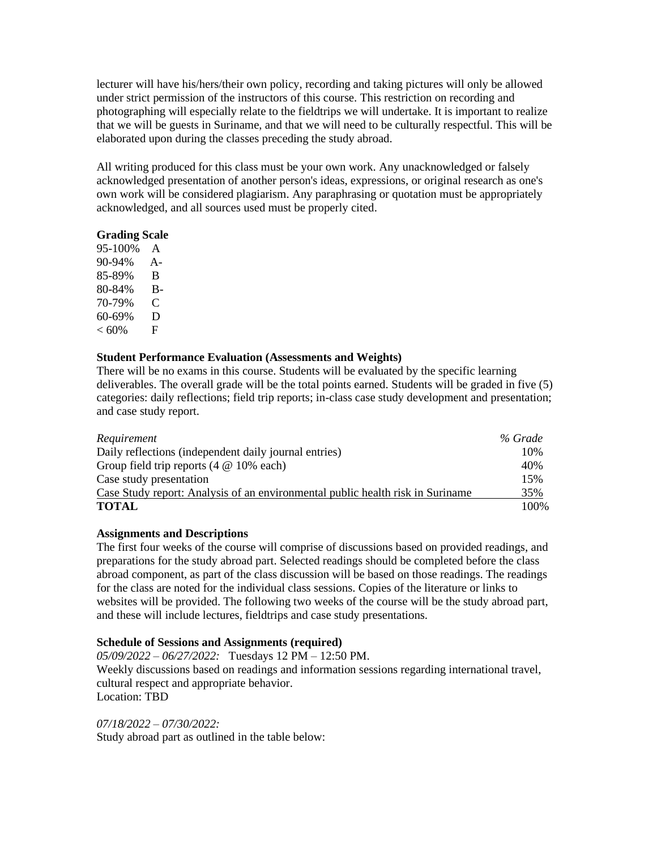lecturer will have his/hers/their own policy, recording and taking pictures will only be allowed under strict permission of the instructors of this course. This restriction on recording and photographing will especially relate to the fieldtrips we will undertake. It is important to realize that we will be guests in Suriname, and that we will need to be culturally respectful. This will be elaborated upon during the classes preceding the study abroad.

All writing produced for this class must be your own work. Any unacknowledged or falsely acknowledged presentation of another person's ideas, expressions, or original research as one's own work will be considered plagiarism. Any paraphrasing or quotation must be appropriately acknowledged, and all sources used must be properly cited.

#### **Grading Scale**

95-100% A 90-94% A-85-89% B 80-84% B-70-79% C 60-69% D  $< 60\%$  F

## **Student Performance Evaluation (Assessments and Weights)**

There will be no exams in this course. Students will be evaluated by the specific learning deliverables. The overall grade will be the total points earned. Students will be graded in five (5) categories: daily reflections; field trip reports; in-class case study development and presentation; and case study report.

| Requirement                                                                    | % Grade |
|--------------------------------------------------------------------------------|---------|
| Daily reflections (independent daily journal entries)                          |         |
| Group field trip reports $(4 \otimes 10\%$ each)                               | 40%     |
| Case study presentation                                                        |         |
| Case Study report: Analysis of an environmental public health risk in Suriname |         |
| <b>TOTAL</b>                                                                   | 100%    |

#### **Assignments and Descriptions**

The first four weeks of the course will comprise of discussions based on provided readings, and preparations for the study abroad part. Selected readings should be completed before the class abroad component, as part of the class discussion will be based on those readings. The readings for the class are noted for the individual class sessions. Copies of the literature or links to websites will be provided. The following two weeks of the course will be the study abroad part, and these will include lectures, fieldtrips and case study presentations.

#### **Schedule of Sessions and Assignments (required)**

*05/09/2022 – 06/27/2022:* Tuesdays 12 PM – 12:50 PM. Weekly discussions based on readings and information sessions regarding international travel, cultural respect and appropriate behavior. Location: TBD

#### *07/18/2022 – 07/30/2022:*

Study abroad part as outlined in the table below: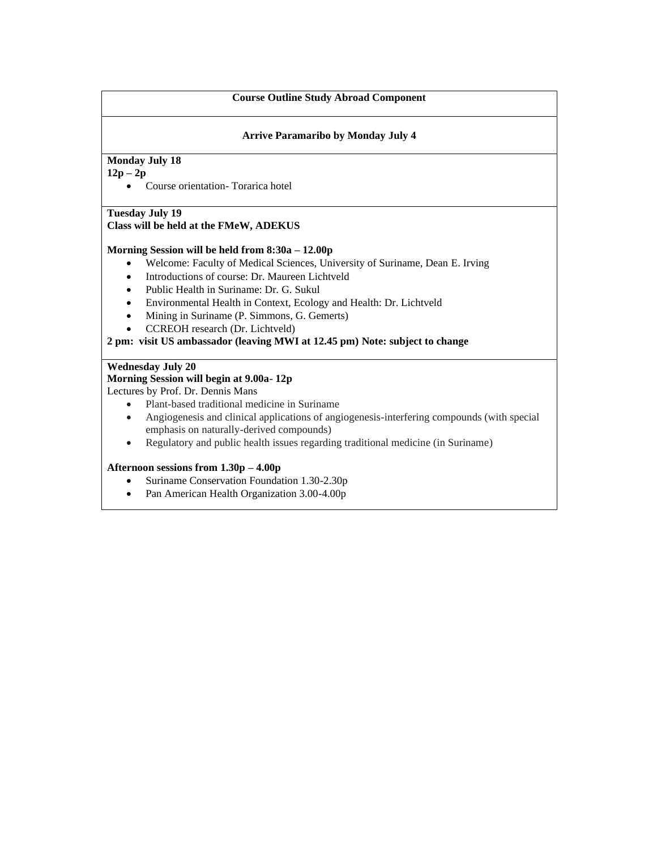#### **Course Outline Study Abroad Component**

#### **Arrive Paramaribo by Monday July 4**

## **Monday July 18**

## **12p – 2p**

• Course orientation- Torarica hotel

## **Tuesday July 19**

## **Class will be held at the FMeW, ADEKUS**

#### **Morning Session will be held from 8:30a – 12.00p**

- Welcome: Faculty of Medical Sciences, University of Suriname, Dean E. Irving
- Introductions of course: Dr. Maureen Lichtveld
- Public Health in Suriname: Dr. G. Sukul
- Environmental Health in Context, Ecology and Health: Dr. Lichtveld
- Mining in Suriname (P. Simmons, G. Gemerts)
- CCREOH research (Dr. Lichtveld)

## **2 pm: visit US ambassador (leaving MWI at 12.45 pm) Note: subject to change**

#### **Wednesday July 20**

# **Morning Session will begin at 9.00a- 12p**

Lectures by Prof. Dr. Dennis Mans

- Plant-based traditional medicine in Suriname
- Angiogenesis and clinical applications of angiogenesis-interfering compounds (with special emphasis on naturally-derived compounds)
- Regulatory and public health issues regarding traditional medicine (in Suriname)

#### **Afternoon sessions from 1.30p – 4.00p**

- Suriname Conservation Foundation 1.30-2.30p
- Pan American Health Organization 3.00-4.00p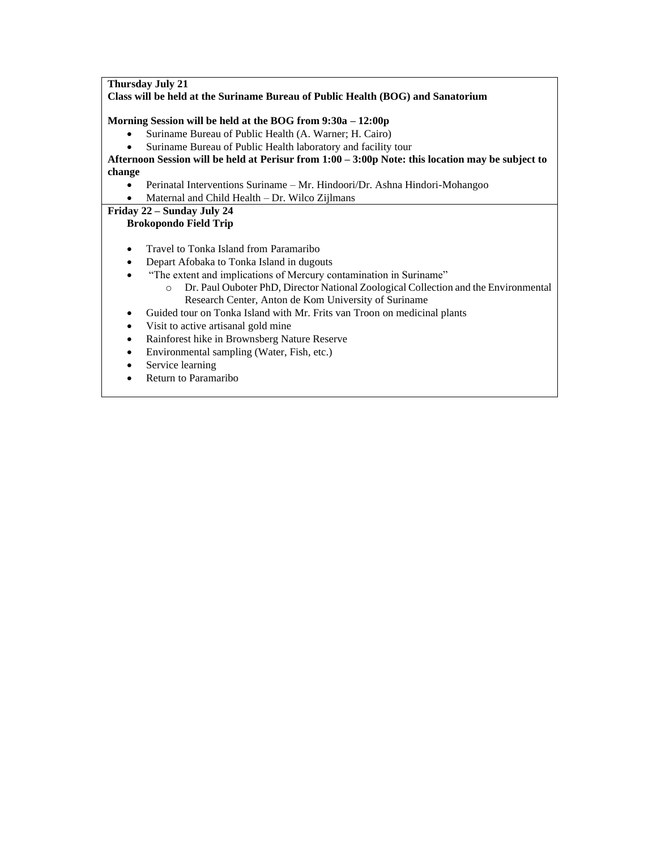**Thursday July 21 Class will be held at the Suriname Bureau of Public Health (BOG) and Sanatorium Morning Session will be held at the BOG from 9:30a – 12:00p**  • Suriname Bureau of Public Health (A. Warner; H. Cairo) • Suriname Bureau of Public Health laboratory and facility tour **Afternoon Session will be held at Perisur from 1:00 – 3:00p Note: this location may be subject to change** • Perinatal Interventions Suriname – Mr. Hindoori/Dr. Ashna Hindori-Mohangoo • Maternal and Child Health – Dr. Wilco Zijlmans **Friday 22 – Sunday July 24 Brokopondo Field Trip** • Travel to Tonka Island from Paramaribo • Depart Afobaka to Tonka Island in dugouts • "The extent and implications of Mercury contamination in Suriname" o Dr. Paul Ouboter PhD, Director National Zoological Collection and the Environmental Research Center, Anton de Kom University of Suriname • Guided tour on Tonka Island with Mr. Frits van Troon on medicinal plants Visit to active artisanal gold mine • Rainforest hike in Brownsberg Nature Reserve • Environmental sampling (Water, Fish, etc.)

- Service learning
- Return to Paramaribo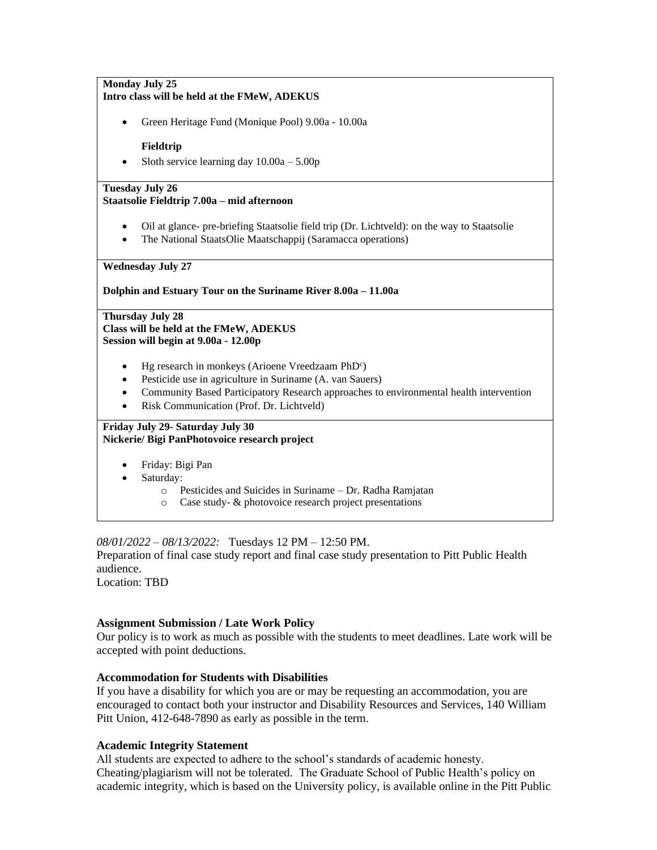#### **Monday July 25 Intro class will be held at the FMeW, ADEKUS**

• Green Heritage Fund (Monique Pool) 9.00a - 10.00a

#### **Fieldtrip**

Sloth service learning day  $10.00a - 5.00p$ 

#### **Tuesday July 26 Staatsolie Fieldtrip 7.00a – mid afternoon**

- Oil at glance- pre-briefing Staatsolie field trip (Dr. Lichtveld): on the way to Staatsolie
- The National StaatsOlie Maatschappij (Saramacca operations)

#### **Wednesday July 27**

**Dolphin and Estuary Tour on the Suriname River 8.00a – 11.00a**

#### **Thursday July 28 Class will be held at the FMeW, ADEKUS Session will begin at 9.00a - 12.00p**

- Hg research in monkeys (Arioene Vreedzaam PhD<sup>c</sup>)
- Pesticide use in agriculture in Suriname (A. van Sauers)
- Community Based Participatory Research approaches to environmental health intervention
- Risk Communication (Prof. Dr. Lichtveld)

#### **Friday July 29- Saturday July 30 Nickerie/ Bigi PanPhotovoice research project**

- Friday: Bigi Pan
- Saturday:
	- o Pesticides and Suicides in Suriname Dr. Radha Ramjatan
	- o Case study- & photovoice research project presentations

## *08/01/2022 – 08/13/2022:* Tuesdays 12 PM – 12:50 PM.

Preparation of final case study report and final case study presentation to Pitt Public Health audience.

Location: TBD

## **Assignment Submission / Late Work Policy**

Our policy is to work as much as possible with the students to meet deadlines. Late work will be accepted with point deductions.

## **Accommodation for Students with Disabilities**

If you have a disability for which you are or may be requesting an accommodation, you are encouraged to contact both your instructor and Disability Resources and Services, 140 William Pitt Union, 412-648-7890 as early as possible in the term.

#### **Academic Integrity Statement**

All students are expected to adhere to the school's standards of academic honesty. Cheating/plagiarism will not be tolerated. The Graduate School of Public Health's policy on academic integrity, which is based on the University policy, is available online in the Pitt Public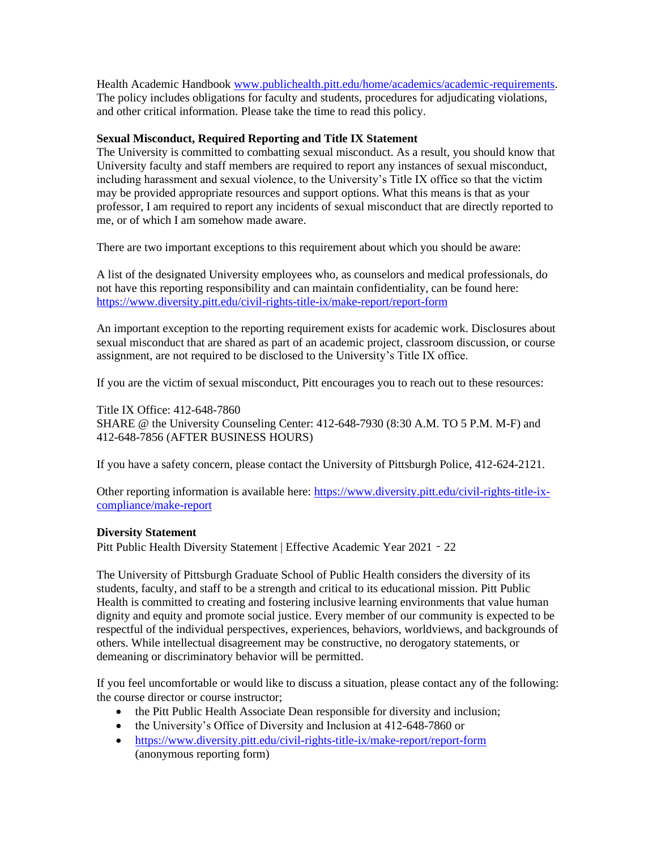Health Academic Handbook [www.publichealth.pitt.edu/home/academics/academic-requirements.](https://na01.safelinks.protection.outlook.com/?url=http%3A%2F%2Fwww.publichealth.pitt.edu%2Fhome%2Facademics%2Facademic-requirements&data=01%7C01%7CRobin.Leaf%40pitt.edu%7Cd2b682f8df1344a1488b08d5f7078713%7C9ef9f489e0a04eeb87cc3a526112fd0d%7C1&sdata=6ufA2nSlUetTPqxC3zE70WlE7mLMvNKznCNB7nQHwj0%3D&reserved=0) The policy includes obligations for faculty and students, procedures for adjudicating violations, and other critical information. Please take the time to read this policy.

## **Sexual Misconduct, Required Reporting and Title IX Statement**

The University is committed to combatting sexual misconduct. As a result, you should know that University faculty and staff members are required to report any instances of sexual misconduct, including harassment and sexual violence, to the University's Title IX office so that the victim may be provided appropriate resources and support options. What this means is that as your professor, I am required to report any incidents of sexual misconduct that are directly reported to me, or of which I am somehow made aware.

There are two important exceptions to this requirement about which you should be aware:

A list of the designated University employees who, as counselors and medical professionals, do not have this reporting responsibility and can maintain confidentiality, can be found here: <https://www.diversity.pitt.edu/civil-rights-title-ix/make-report/report-form>

An important exception to the reporting requirement exists for academic work. Disclosures about sexual misconduct that are shared as part of an academic project, classroom discussion, or course assignment, are not required to be disclosed to the University's Title IX office.

If you are the victim of sexual misconduct, Pitt encourages you to reach out to these resources:

Title IX Office: 412-648-7860 SHARE @ the University Counseling Center: 412-648-7930 (8:30 A.M. TO 5 P.M. M-F) and 412-648-7856 (AFTER BUSINESS HOURS)

If you have a safety concern, please contact the University of Pittsburgh Police, 412-624-2121.

Other reporting information is available here: [https://www.diversity.pitt.edu/civil-rights-title-ix](https://www.diversity.pitt.edu/civil-rights-title-ix-compliance/make-report)[compliance/make-report](https://www.diversity.pitt.edu/civil-rights-title-ix-compliance/make-report)

## **Diversity Statement**

Pitt Public Health Diversity Statement | Effective Academic Year 2021 - 22

The University of Pittsburgh Graduate School of Public Health considers the diversity of its students, faculty, and staff to be a strength and critical to its educational mission. Pitt Public Health is committed to creating and fostering inclusive learning environments that value human dignity and equity and promote social justice. Every member of our community is expected to be respectful of the individual perspectives, experiences, behaviors, worldviews, and backgrounds of others. While intellectual disagreement may be constructive, no derogatory statements, or demeaning or discriminatory behavior will be permitted.

If you feel uncomfortable or would like to discuss a situation, please contact any of the following: the course director or course instructor;

- the Pitt Public Health Associate Dean responsible for diversity and inclusion;
- the University's Office of Diversity and Inclusion at 412-648-7860 or
- <https://www.diversity.pitt.edu/civil-rights-title-ix/make-report/report-form> (anonymous reporting form)